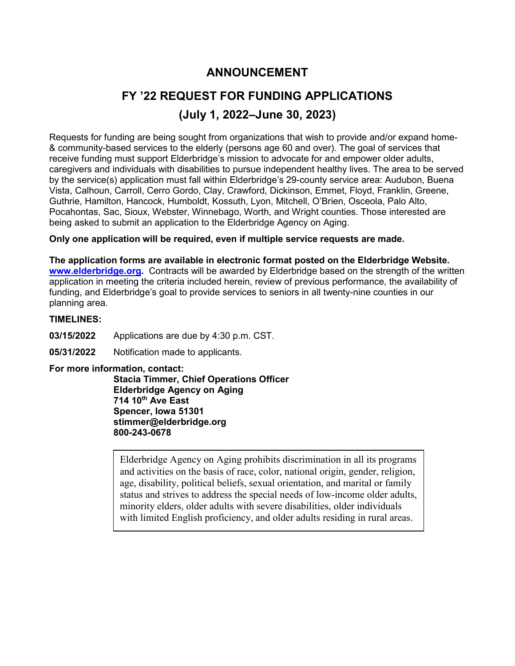## **ANNOUNCEMENT**

# **FY '22 REQUEST FOR FUNDING APPLICATIONS (July 1, 2022–June 30, 2023)**

Requests for funding are being sought from organizations that wish to provide and/or expand home- & community-based services to the elderly (persons age 60 and over). The goal of services that receive funding must support Elderbridge's mission to advocate for and empower older adults, caregivers and individuals with disabilities to pursue independent healthy lives. The area to be served by the service(s) application must fall within Elderbridge's 29-county service area: Audubon, Buena Vista, Calhoun, Carroll, Cerro Gordo, Clay, Crawford, Dickinson, Emmet, Floyd, Franklin, Greene, Guthrie, Hamilton, Hancock, Humboldt, Kossuth, Lyon, Mitchell, O'Brien, Osceola, Palo Alto, Pocahontas, Sac, Sioux, Webster, Winnebago, Worth, and Wright counties. Those interested are being asked to submit an application to the Elderbridge Agency on Aging.

### **Only one application will be required, even if multiple service requests are made.**

**The application forms are available in electronic format posted on the Elderbridge Website. [www.elderbridge.org.](http://www.elderbridge.org/)** Contracts will be awarded by Elderbridge based on the strength of the written application in meeting the criteria included herein, review of previous performance, the availability of funding, and Elderbridge's goal to provide services to seniors in all twenty-nine counties in our planning area.

#### **TIMELINES:**

- **03/15/2022** Applications are due by 4:30 p.m. CST.
- **05/31/2022** Notification made to applicants.

#### **For more information, contact:**

**Stacia Timmer, Chief Operations Officer Elderbridge Agency on Aging 714 10th Ave East Spencer, Iowa 51301 stimmer@elderbridge.org 800-243-0678**

Elderbridge Agency on Aging prohibits discrimination in all its programs and activities on the basis of race, color, national origin, gender, religion, age, disability, political beliefs, sexual orientation, and marital or family status and strives to address the special needs of low-income older adults, minority elders, older adults with severe disabilities, older individuals with limited English proficiency, and older adults residing in rural areas.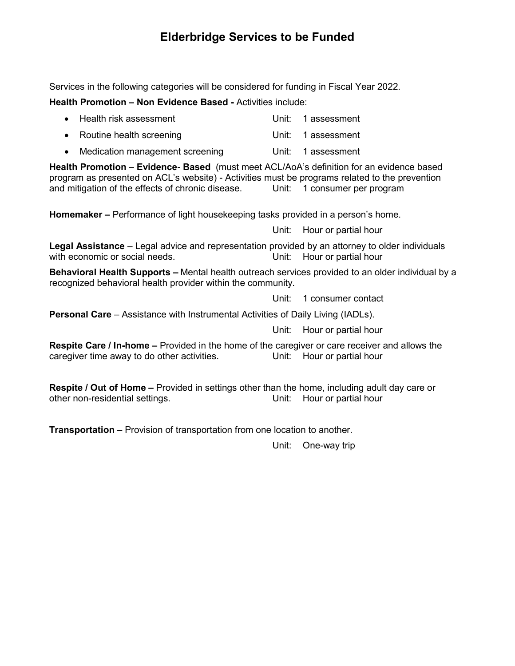### **Elderbridge Services to be Funded**

Services in the following categories will be considered for funding in Fiscal Year 2022.

**Health Promotion – Non Evidence Based -** Activities include:

| • Health risk assessment   | Unit: 1 assessment |
|----------------------------|--------------------|
| • Routine health screening | Unit: 1 assessment |

• Medication management screening Unit: 1 assessment

**Health Promotion – Evidence- Based** (must meet ACL/AoA's definition for an evidence based program as presented on ACL's website) - Activities must be programs related to the prevention and mitigation of the effects of chronic disease. Unit: 1 consumer per program

**Homemaker –** Performance of light housekeeping tasks provided in a person's home.

Unit: Hour or partial hour

**Legal Assistance** – Legal advice and representation provided by an attorney to older individuals with economic or social needs. The Mathematic Unit: Hour or partial hour

**Behavioral Health Supports –** Mental health outreach services provided to an older individual by a recognized behavioral health provider within the community.

Unit: 1 consumer contact

**Personal Care** – Assistance with Instrumental Activities of Daily Living (IADLs).

Unit: Hour or partial hour

**Respite Care / In-home –** Provided in the home of the caregiver or care receiver and allows the caregiver time away to do other activities. caregiver time away to do other activities.

**Respite / Out of Home –** Provided in settings other than the home, including adult day care or other non-residential settings. Unit: Hour or partial hour

**Transportation** – Provision of transportation from one location to another.

Unit: One-way trip